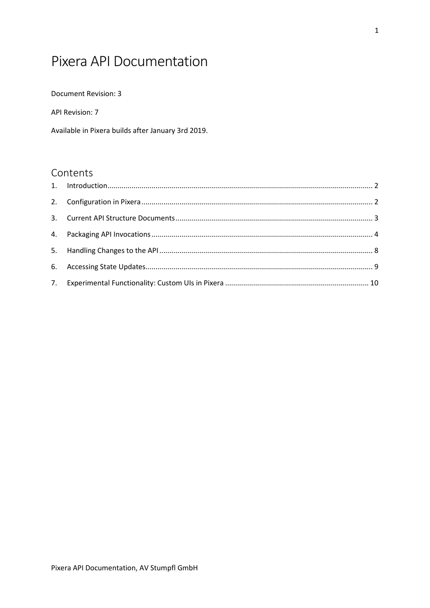# Pixera API Documentation

Document Revision: 3

API Revision: 7

Available in Pixera builds after January 3rd 2019.

## Contents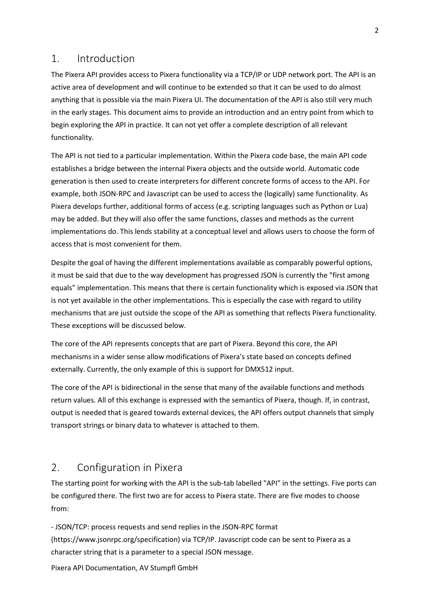#### <span id="page-1-0"></span>1. Introduction

The Pixera API provides access to Pixera functionality via a TCP/IP or UDP network port. The API is an active area of development and will continue to be extended so that it can be used to do almost anything that is possible via the main Pixera UI. The documentation of the API is also still very much in the early stages. This document aims to provide an introduction and an entry point from which to begin exploring the API in practice. It can not yet offer a complete description of all relevant functionality.

The API is not tied to a particular implementation. Within the Pixera code base, the main API code establishes a bridge between the internal Pixera objects and the outside world. Automatic code generation is then used to create interpreters for different concrete forms of access to the API. For example, both JSON-RPC and Javascript can be used to access the (logically) same functionality. As Pixera develops further, additional forms of access (e.g. scripting languages such as Python or Lua) may be added. But they will also offer the same functions, classes and methods as the current implementations do. This lends stability at a conceptual level and allows users to choose the form of access that is most convenient for them.

Despite the goal of having the different implementations available as comparably powerful options, it must be said that due to the way development has progressed JSON is currently the "first among equals" implementation. This means that there is certain functionality which is exposed via JSON that is not yet available in the other implementations. This is especially the case with regard to utility mechanisms that are just outside the scope of the API as something that reflects Pixera functionality. These exceptions will be discussed below.

The core of the API represents concepts that are part of Pixera. Beyond this core, the API mechanisms in a wider sense allow modifications of Pixera's state based on concepts defined externally. Currently, the only example of this is support for DMX512 input.

The core of the API is bidirectional in the sense that many of the available functions and methods return values. All of this exchange is expressed with the semantics of Pixera, though. If, in contrast, output is needed that is geared towards external devices, the API offers output channels that simply transport strings or binary data to whatever is attached to them.

## <span id="page-1-1"></span>2. Configuration in Pixera

The starting point for working with the API is the sub-tab labelled "API" in the settings. Five ports can be configured there. The first two are for access to Pixera state. There are five modes to choose from:

- JSON/TCP: process requests and send replies in the JSON-RPC format (https://www.jsonrpc.org/specification) via TCP/IP. Javascript code can be sent to Pixera as a character string that is a parameter to a special JSON message.

Pixera API Documentation, AV Stumpfl GmbH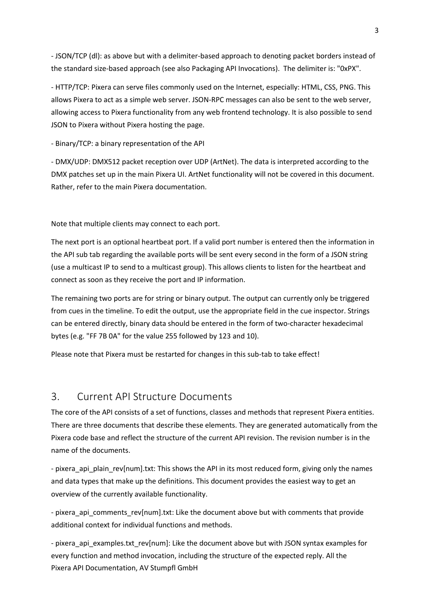- JSON/TCP (dl): as above but with a delimiter-based approach to denoting packet borders instead of the standard size-based approach (see also [Packaging API Invocations\)](#page-3-0). The delimiter is: "0xPX".

- HTTP/TCP: Pixera can serve files commonly used on the Internet, especially: HTML, CSS, PNG. This allows Pixera to act as a simple web server. JSON-RPC messages can also be sent to the web server, allowing access to Pixera functionality from any web frontend technology. It is also possible to send JSON to Pixera without Pixera hosting the page.

- Binary/TCP: a binary representation of the API

- DMX/UDP: DMX512 packet reception over UDP (ArtNet). The data is interpreted according to the DMX patches set up in the main Pixera UI. ArtNet functionality will not be covered in this document. Rather, refer to the main Pixera documentation.

Note that multiple clients may connect to each port.

The next port is an optional heartbeat port. If a valid port number is entered then the information in the API sub tab regarding the available ports will be sent every second in the form of a JSON string (use a multicast IP to send to a multicast group). This allows clients to listen for the heartbeat and connect as soon as they receive the port and IP information.

The remaining two ports are for string or binary output. The output can currently only be triggered from cues in the timeline. To edit the output, use the appropriate field in the cue inspector. Strings can be entered directly, binary data should be entered in the form of two-character hexadecimal bytes (e.g. "FF 7B 0A" for the value 255 followed by 123 and 10).

Please note that Pixera must be restarted for changes in this sub-tab to take effect!

## <span id="page-2-0"></span>3. Current API Structure Documents

The core of the API consists of a set of functions, classes and methods that represent Pixera entities. There are three documents that describe these elements. They are generated automatically from the Pixera code base and reflect the structure of the current API revision. The revision number is in the name of the documents.

- pixera\_api\_plain\_rev[num].txt: This shows the API in its most reduced form, giving only the names and data types that make up the definitions. This document provides the easiest way to get an overview of the currently available functionality.

- pixera api comments rev[num].txt: Like the document above but with comments that provide additional context for individual functions and methods.

Pixera API Documentation, AV Stumpfl GmbH - pixera api examples.txt rev[num]: Like the document above but with JSON syntax examples for every function and method invocation, including the structure of the expected reply. All the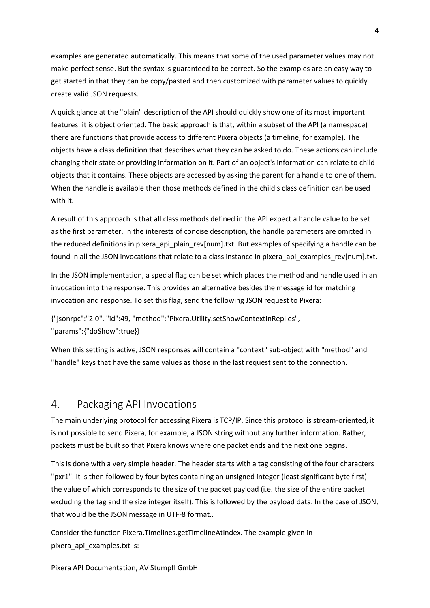examples are generated automatically. This means that some of the used parameter values may not make perfect sense. But the syntax is guaranteed to be correct. So the examples are an easy way to get started in that they can be copy/pasted and then customized with parameter values to quickly create valid JSON requests.

A quick glance at the "plain" description of the API should quickly show one of its most important features: it is object oriented. The basic approach is that, within a subset of the API (a namespace) there are functions that provide access to different Pixera objects (a timeline, for example). The objects have a class definition that describes what they can be asked to do. These actions can include changing their state or providing information on it. Part of an object's information can relate to child objects that it contains. These objects are accessed by asking the parent for a handle to one of them. When the handle is available then those methods defined in the child's class definition can be used with it.

A result of this approach is that all class methods defined in the API expect a handle value to be set as the first parameter. In the interests of concise description, the handle parameters are omitted in the reduced definitions in pixera api plain rev[num].txt. But examples of specifying a handle can be found in all the JSON invocations that relate to a class instance in pixera api examples rev[num].txt.

In the JSON implementation, a special flag can be set which places the method and handle used in an invocation into the response. This provides an alternative besides the message id for matching invocation and response. To set this flag, send the following JSON request to Pixera:

{"jsonrpc":"2.0", "id":49, "method":"Pixera.Utility.setShowContextInReplies", "params":{"doShow":true}}

When this setting is active, JSON responses will contain a "context" sub-object with "method" and "handle" keys that have the same values as those in the last request sent to the connection.

### <span id="page-3-0"></span>4. Packaging API Invocations

The main underlying protocol for accessing Pixera is TCP/IP. Since this protocol is stream-oriented, it is not possible to send Pixera, for example, a JSON string without any further information. Rather, packets must be built so that Pixera knows where one packet ends and the next one begins.

This is done with a very simple header. The header starts with a tag consisting of the four characters "pxr1". It is then followed by four bytes containing an unsigned integer (least significant byte first) the value of which corresponds to the size of the packet payload (i.e. the size of the entire packet excluding the tag and the size integer itself). This is followed by the payload data. In the case of JSON, that would be the JSON message in UTF-8 format..

Consider the function Pixera.Timelines.getTimelineAtIndex. The example given in pixera\_api\_examples.txt is:

Pixera API Documentation, AV Stumpfl GmbH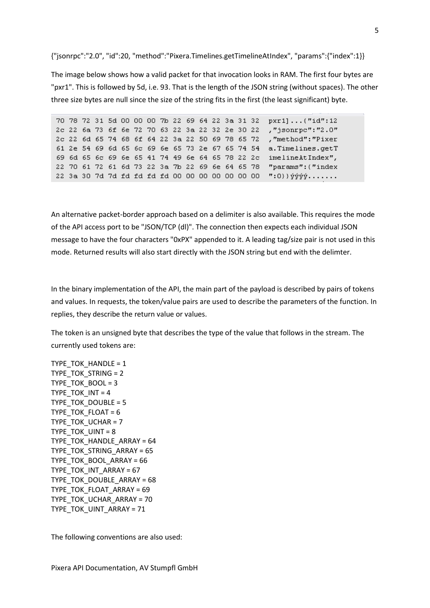{"jsonrpc":"2.0", "id":20, "method":"Pixera.Timelines.getTimelineAtIndex", "params":{"index":1}}

The image below shows how a valid packet for that invocation looks in RAM. The first four bytes are "pxr1". This is followed by 5d, i.e. 93. That is the length of the JSON string (without spaces). The other three size bytes are null since the size of the string fits in the first (the least significant) byte.

70 78 72 31 5d 00 00 00 7b 22 69 64 22 3a 31 32 pxr1]...("id":12 2c 22 6a 73 6f 6e 72 70 63 22 3a 22 32 2e 30 22 , "jsonrpc": "2.0" 2c 22 6d 65 74 68 6f 64 22 3a 22 50 69 78 65 72 , "method": "Pixer 61 2e 54 69 6d 65 6c 69 6e 65 73 2e 67 65 74 54 a. Timelines. get T 69 6d 65 6c 69 6e 65 41 74 49 6e 64 65 78 22 2c imelineAtIndex", 22 70 61 72 61 6d 73 22 3a 7b 22 69 6e 64 65 78 "params": ("index 22 3a 30 7d 7d fd fd fd fd 00 00 00 00 00 00 00 00 ":0}} ýýýý.......

An alternative packet-border approach based on a delimiter is also available. This requires the mode of the API access port to be "JSON/TCP (dl)". The connection then expects each individual JSON message to have the four characters "0xPX" appended to it. A leading tag/size pair is not used in this mode. Returned results will also start directly with the JSON string but end with the delimter.

In the binary implementation of the API, the main part of the payload is described by pairs of tokens and values. In requests, the token/value pairs are used to describe the parameters of the function. In replies, they describe the return value or values.

The token is an unsigned byte that describes the type of the value that follows in the stream. The currently used tokens are:

TYPE\_TOK\_HANDLE = 1 TYPE TOK STRING  $= 2$ TYPE TOK BOOL = 3 TYPE TOK  $INT = 4$ TYPE TOK DOUBLE = 5 TYPE TOK FLOAT =  $6$ TYPE TOK UCHAR = 7 TYPE TOK UINT  $= 8$ TYPE TOK HANDLE ARRAY =  $64$ TYPE\_TOK\_STRING\_ARRAY = 65 TYPE\_TOK\_BOOL\_ARRAY = 66 TYPE\_TOK\_INT\_ARRAY = 67 TYPE TOK DOUBLE ARRAY = 68 TYPE TOK FLOAT ARRAY = 69 TYPE\_TOK\_UCHAR\_ARRAY = 70 TYPE TOK UINT ARRAY = 71

The following conventions are also used: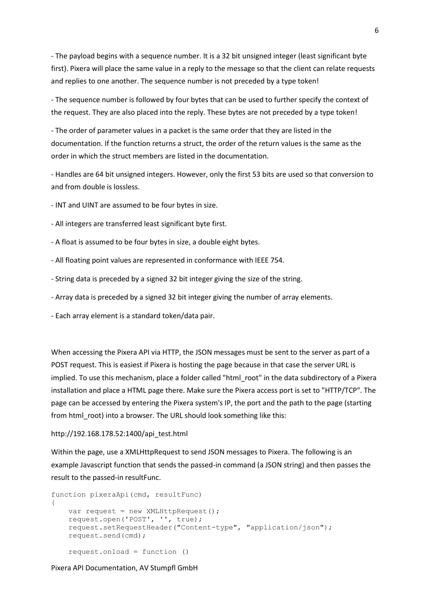- The payload begins with a sequence number. It is a 32 bit unsigned integer (least significant byte first). Pixera will place the same value in a reply to the message so that the client can relate requests and replies to one another. The sequence number is not preceded by a type token!

- The sequence number is followed by four bytes that can be used to further specify the context of the request. They are also placed into the reply. These bytes are not preceded by a type token!

- The order of parameter values in a packet is the same order that they are listed in the documentation. If the function returns a struct, the order of the return values is the same as the order in which the struct members are listed in the documentation.

- Handles are 64 bit unsigned integers. However, only the first 53 bits are used so that conversion to and from double is lossless.

- INT and UINT are assumed to be four bytes in size.

- All integers are transferred least significant byte first.

- A float is assumed to be four bytes in size, a double eight bytes.
- All floating point values are represented in conformance with IEEE 754.
- String data is preceded by a signed 32 bit integer giving the size of the string.
- Array data is preceded by a signed 32 bit integer giving the number of array elements.
- Each array element is a standard token/data pair.

When accessing the Pixera API via HTTP, the JSON messages must be sent to the server as part of a POST request. This is easiest if Pixera is hosting the page because in that case the server URL is implied. To use this mechanism, place a folder called "html root" in the data subdirectory of a Pixera installation and place a HTML page there. Make sure the Pixera access port is set to "HTTP/TCP". The page can be accessed by entering the Pixera system's IP, the port and the path to the page (starting from html\_root) into a browser. The URL should look something like this:

#### http://192.168.178.52:1400/api\_test.html

Within the page, use a XMLHttpRequest to send JSON messages to Pixera. The following is an example Javascript function that sends the passed-in command (a JSON string) and then passes the result to the passed-in resultFunc.

```
function pixeraApi(cmd, resultFunc)
{
    var request = new XMLHttpRequest();
     request.open('POST', '', true);
     request.setRequestHeader("Content-type", "application/json");
     request.send(cmd);
     request.onload = function ()
```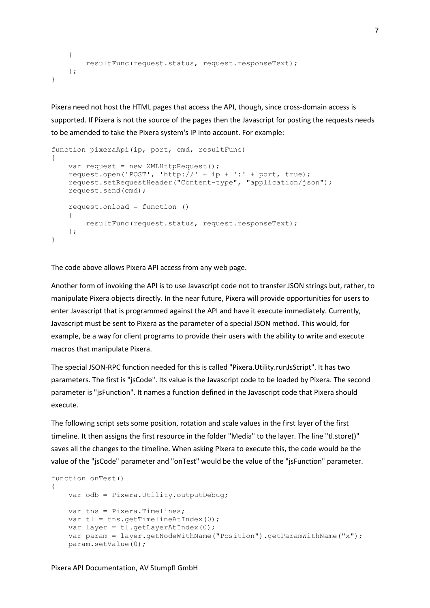```
 {
        resultFunc(request.status, request.responseText);
    };
}
```
Pixera need not host the HTML pages that access the API, though, since cross-domain access is supported. If Pixera is not the source of the pages then the Javascript for posting the requests needs to be amended to take the Pixera system's IP into account. For example:

```
function pixeraApi(ip, port, cmd, resultFunc)
{
   var request = new XMLHttpRequest();
    request.open('POST', 'http://' + ip + ':' + port, true);
    request.setRequestHeader("Content-type", "application/json");
    request.send(cmd);
    request.onload = function ()
     {
         resultFunc(request.status, request.responseText);
    };
}
```
The code above allows Pixera API access from any web page.

Another form of invoking the API is to use Javascript code not to transfer JSON strings but, rather, to manipulate Pixera objects directly. In the near future, Pixera will provide opportunities for users to enter Javascript that is programmed against the API and have it execute immediately. Currently, Javascript must be sent to Pixera as the parameter of a special JSON method. This would, for example, be a way for client programs to provide their users with the ability to write and execute macros that manipulate Pixera.

The special JSON-RPC function needed for this is called "Pixera.Utility.runJsScript". It has two parameters. The first is "jsCode". Its value is the Javascript code to be loaded by Pixera. The second parameter is "jsFunction". It names a function defined in the Javascript code that Pixera should execute.

The following script sets some position, rotation and scale values in the first layer of the first timeline. It then assigns the first resource in the folder "Media" to the layer. The line "tl.store()" saves all the changes to the timeline. When asking Pixera to execute this, the code would be the value of the "jsCode" parameter and "onTest" would be the value of the "jsFunction" parameter.

```
function onTest()
{
    var odb = Pixera.Utility.outputDebug;
    var tns = Pixera.Timelines;
   var t = tns.getTimelineAtIndex(0);
   var layer = tl.getLayerAtIndex(0); var param = layer.getNodeWithName("Position").getParamWithName("x");
    param.setValue(0);
```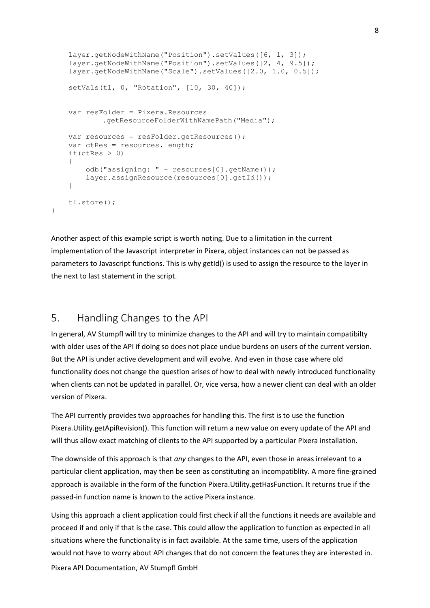```
 layer.getNodeWithName("Position").setValues([6, 1, 3]);
     layer.getNodeWithName("Position").setValues([2, 4, 9.5]);
     layer.getNodeWithName("Scale").setValues([2.0, 1.0, 0.5]);
     setVals(tl, 0, "Rotation", [10, 30, 40]);
     var resFolder = Pixera.Resources
             .getResourceFolderWithNamePath("Media");
     var resources = resFolder.getResources();
     var ctRes = resources.length;
    if(ctRes > 0)
\left\{\begin{array}{ccc} & & \\ & & \end{array}\right\} odb("assigning: " + resources[0].getName());
         layer.assignResource(resources[0].getId());
     }
    tl.store();
```
Another aspect of this example script is worth noting. Due to a limitation in the current implementation of the Javascript interpreter in Pixera, object instances can not be passed as parameters to Javascript functions. This is why getId() is used to assign the resource to the layer in the next to last statement in the script.

## <span id="page-7-0"></span>5. Handling Changes to the API

}

In general, AV Stumpfl will try to minimize changes to the API and will try to maintain compatibilty with older uses of the API if doing so does not place undue burdens on users of the current version. But the API is under active development and will evolve. And even in those case where old functionality does not change the question arises of how to deal with newly introduced functionality when clients can not be updated in parallel. Or, vice versa, how a newer client can deal with an older version of Pixera.

The API currently provides two approaches for handling this. The first is to use the function Pixera.Utility.getApiRevision(). This function will return a new value on every update of the API and will thus allow exact matching of clients to the API supported by a particular Pixera installation.

The downside of this approach is that *any* changes to the API, even those in areas irrelevant to a particular client application, may then be seen as constituting an incompatiblity. A more fine-grained approach is available in the form of the function Pixera.Utility.getHasFunction. It returns true if the passed-in function name is known to the active Pixera instance.

Pixera API Documentation, AV Stumpfl GmbH Using this approach a client application could first check if all the functions it needs are available and proceed if and only if that is the case. This could allow the application to function as expected in all situations where the functionality is in fact available. At the same time, users of the application would not have to worry about API changes that do not concern the features they are interested in.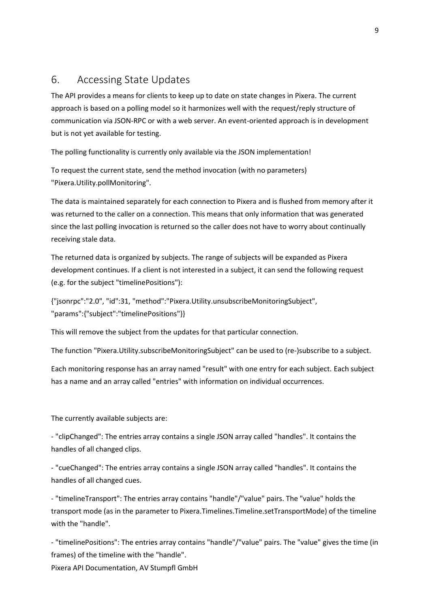## <span id="page-8-0"></span>6. Accessing State Updates

The API provides a means for clients to keep up to date on state changes in Pixera. The current approach is based on a polling model so it harmonizes well with the request/reply structure of communication via JSON-RPC or with a web server. An event-oriented approach is in development but is not yet available for testing.

The polling functionality is currently only available via the JSON implementation!

To request the current state, send the method invocation (with no parameters) "Pixera.Utility.pollMonitoring".

The data is maintained separately for each connection to Pixera and is flushed from memory after it was returned to the caller on a connection. This means that only information that was generated since the last polling invocation is returned so the caller does not have to worry about continually receiving stale data.

The returned data is organized by subjects. The range of subjects will be expanded as Pixera development continues. If a client is not interested in a subject, it can send the following request (e.g. for the subject "timelinePositions"):

{"jsonrpc":"2.0", "id":31, "method":"Pixera.Utility.unsubscribeMonitoringSubject", "params":{"subject":"timelinePositions"}}

This will remove the subject from the updates for that particular connection.

The function "Pixera.Utility.subscribeMonitoringSubject" can be used to (re-)subscribe to a subject.

Each monitoring response has an array named "result" with one entry for each subject. Each subject has a name and an array called "entries" with information on individual occurrences.

The currently available subjects are:

- "clipChanged": The entries array contains a single JSON array called "handles". It contains the handles of all changed clips.

- "cueChanged": The entries array contains a single JSON array called "handles". It contains the handles of all changed cues.

- "timelineTransport": The entries array contains "handle"/"value" pairs. The "value" holds the transport mode (as in the parameter to Pixera.Timelines.Timeline.setTransportMode) of the timeline with the "handle".

Pixera API Documentation, AV Stumpfl GmbH - "timelinePositions": The entries array contains "handle"/"value" pairs. The "value" gives the time (in frames) of the timeline with the "handle".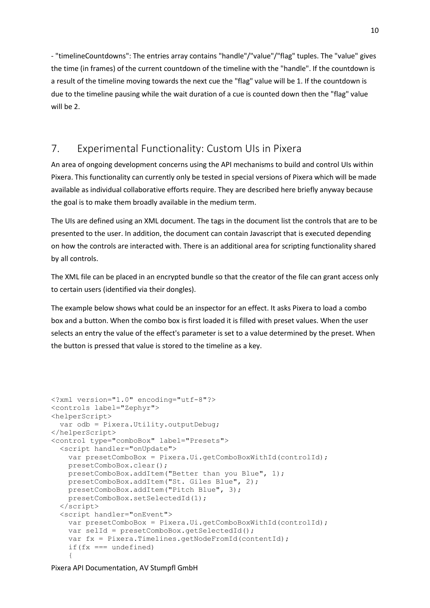- "timelineCountdowns": The entries array contains "handle"/"value"/"flag" tuples. The "value" gives the time (in frames) of the current countdown of the timeline with the "handle". If the countdown is a result of the timeline moving towards the next cue the "flag" value will be 1. If the countdown is due to the timeline pausing while the wait duration of a cue is counted down then the "flag" value will be 2.

## <span id="page-9-0"></span>7. Experimental Functionality: Custom UIs in Pixera

An area of ongoing development concerns using the API mechanisms to build and control UIs within Pixera. This functionality can currently only be tested in special versions of Pixera which will be made available as individual collaborative efforts require. They are described here briefly anyway because the goal is to make them broadly available in the medium term.

The UIs are defined using an XML document. The tags in the document list the controls that are to be presented to the user. In addition, the document can contain Javascript that is executed depending on how the controls are interacted with. There is an additional area for scripting functionality shared by all controls.

The XML file can be placed in an encrypted bundle so that the creator of the file can grant access only to certain users (identified via their dongles).

The example below shows what could be an inspector for an effect. It asks Pixera to load a combo box and a button. When the combo box is first loaded it is filled with preset values. When the user selects an entry the value of the effect's parameter is set to a value determined by the preset. When the button is pressed that value is stored to the timeline as a key.

```
<?xml version="1.0" encoding="utf-8"?>
<controls label="Zephyr">
<helperScript>
   var odb = Pixera.Utility.outputDebug;
</helperScript>
<control type="comboBox" label="Presets">
   <script handler="onUpdate">
     var presetComboBox = Pixera.Ui.getComboBoxWithId(controlId);
     presetComboBox.clear();
     presetComboBox.addItem("Better than you Blue", 1);
     presetComboBox.addItem("St. Giles Blue", 2);
     presetComboBox.addItem("Pitch Blue", 3);
     presetComboBox.setSelectedId(1);
   </script>
   <script handler="onEvent">
     var presetComboBox = Pixera.Ui.getComboBoxWithId(controlId);
     var selId = presetComboBox.getSelectedId();
     var fx = Pixera.Timelines.getNodeFromId(contentId);
    if(fx == undefined) {
```
Pixera API Documentation, AV Stumpfl GmbH